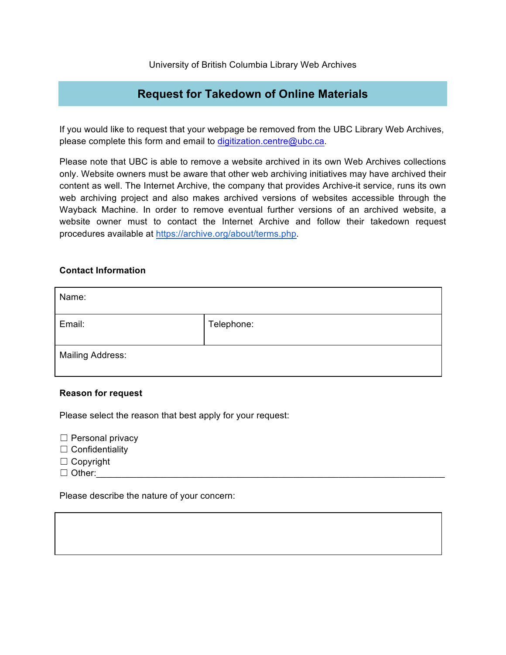## **Request for Takedown of Online Materials**

If you would like to request that your webpage be removed from the UBC Library Web Archives, please complete this form and email to digitization.centre@ubc.ca.

Please note that UBC is able to remove a website archived in its own Web Archives collections only. Website owners must be aware that other web archiving initiatives may have archived their content as well. The Internet Archive, the company that provides Archive-it service, runs its own web archiving project and also makes archived versions of websites accessible through the Wayback Machine. In order to remove eventual further versions of an archived website, a website owner must to contact the Internet Archive and follow their takedown request procedures available at https://archive.org/about/terms.php.

## **Contact Information**

| Name:                   |            |
|-------------------------|------------|
| Email:                  | Telephone: |
| <b>Mailing Address:</b> |            |

## **Reason for request**

Please select the reason that best apply for your request:

- $\Box$  Personal privacy
- □ Confidentiality
- ☐ Copyright
- $\Box$  Other:

Please describe the nature of your concern: